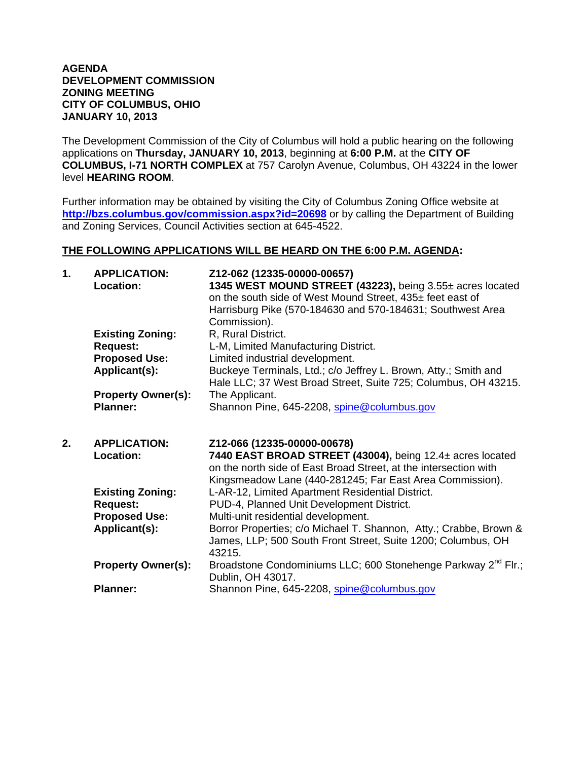## **AGENDA DEVELOPMENT COMMISSION ZONING MEETING CITY OF COLUMBUS, OHIO JANUARY 10, 2013**

The Development Commission of the City of Columbus will hold a public hearing on the following applications on **Thursday, JANUARY 10, 2013**, beginning at **6:00 P.M.** at the **CITY OF COLUMBUS, I-71 NORTH COMPLEX** at 757 Carolyn Avenue, Columbus, OH 43224 in the lower level **HEARING ROOM**.

Further information may be obtained by visiting the City of Columbus Zoning Office website at **http://bzs.columbus.gov/commission.aspx?id=20698** or by calling the Department of Building and Zoning Services, Council Activities section at 645-4522.

## **THE FOLLOWING APPLICATIONS WILL BE HEARD ON THE 6:00 P.M. AGENDA:**

| 1. | <b>APPLICATION:</b><br>Location: | Z12-062 (12335-00000-00657)<br>1345 WEST MOUND STREET (43223), being 3.55± acres located<br>on the south side of West Mound Street, 435± feet east of<br>Harrisburg Pike (570-184630 and 570-184631; Southwest Area<br>Commission). |
|----|----------------------------------|-------------------------------------------------------------------------------------------------------------------------------------------------------------------------------------------------------------------------------------|
|    | <b>Existing Zoning:</b>          | R, Rural District.                                                                                                                                                                                                                  |
|    | <b>Request:</b>                  | L-M, Limited Manufacturing District.                                                                                                                                                                                                |
|    | <b>Proposed Use:</b>             | Limited industrial development.                                                                                                                                                                                                     |
|    | Applicant(s):                    | Buckeye Terminals, Ltd.; c/o Jeffrey L. Brown, Atty.; Smith and<br>Hale LLC; 37 West Broad Street, Suite 725; Columbus, OH 43215.                                                                                                   |
|    | <b>Property Owner(s):</b>        | The Applicant.                                                                                                                                                                                                                      |
|    | <b>Planner:</b>                  | Shannon Pine, 645-2208, spine@columbus.gov                                                                                                                                                                                          |
| 2. |                                  |                                                                                                                                                                                                                                     |
|    | <b>APPLICATION:</b><br>Location: | Z12-066 (12335-00000-00678)<br>7440 EAST BROAD STREET (43004), being 12.4± acres located<br>on the north side of East Broad Street, at the intersection with<br>Kingsmeadow Lane (440-281245; Far East Area Commission).            |
|    | <b>Existing Zoning:</b>          | L-AR-12, Limited Apartment Residential District.                                                                                                                                                                                    |
|    | <b>Request:</b>                  | PUD-4, Planned Unit Development District.                                                                                                                                                                                           |
|    | <b>Proposed Use:</b>             | Multi-unit residential development.                                                                                                                                                                                                 |
|    | Applicant(s):                    | Borror Properties; c/o Michael T. Shannon, Atty.; Crabbe, Brown &<br>James, LLP; 500 South Front Street, Suite 1200; Columbus, OH<br>43215.                                                                                         |
|    | <b>Property Owner(s):</b>        | Broadstone Condominiums LLC; 600 Stonehenge Parkway 2 <sup>nd</sup> Flr.;<br>Dublin, OH 43017.                                                                                                                                      |